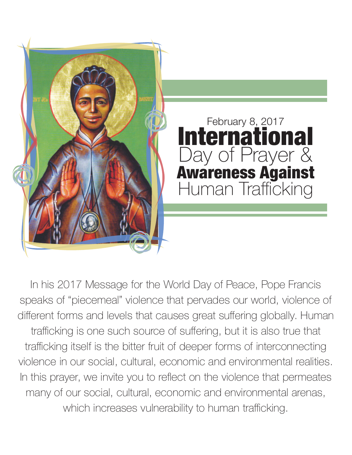

In his 2017 Message for the World Day of Peace, Pope Francis speaks of "piecemeal" violence that pervades our world, violence of different forms and levels that causes great suffering globally. Human trafficking is one such source of suffering, but it is also true that trafficking itself is the bitter fruit of deeper forms of interconnecting violence in our social, cultural, economic and environmental realities. In this prayer, we invite you to reflect on the violence that permeates many of our social, cultural, economic and environmental arenas, which increases vulnerability to human trafficking.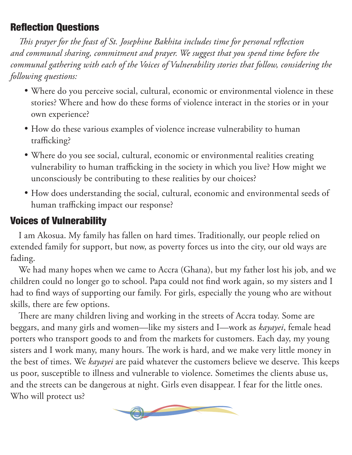## Reflection Questions

*This prayer for the feast of St. Josephine Bakhita includes time for personal reflection and communal sharing, commitment and prayer. We suggest that you spend time before the communal gathering with each of the Voices of Vulnerability stories that follow, considering the following questions:*

- Where do you perceive social, cultural, economic or environmental violence in these stories? Where and how do these forms of violence interact in the stories or in your own experience?
- How do these various examples of violence increase vulnerability to human trafficking?
- Where do you see social, cultural, economic or environmental realities creating vulnerability to human trafficking in the society in which you live? How might we unconsciously be contributing to these realities by our choices?
- How does understanding the social, cultural, economic and environmental seeds of human trafficking impact our response?

# Voices of Vulnerability

I am Akosua. My family has fallen on hard times. Traditionally, our people relied on extended family for support, but now, as poverty forces us into the city, our old ways are fading.

We had many hopes when we came to Accra (Ghana), but my father lost his job, and we children could no longer go to school. Papa could not find work again, so my sisters and I had to find ways of supporting our family. For girls, especially the young who are without skills, there are few options.

There are many children living and working in the streets of Accra today. Some are beggars, and many girls and women—like my sisters and I—work as *kayayei*, female head porters who transport goods to and from the markets for customers. Each day, my young sisters and I work many, many hours. The work is hard, and we make very little money in the best of times. We *kayayei* are paid whatever the customers believe we deserve. This keeps us poor, susceptible to illness and vulnerable to violence. Sometimes the clients abuse us, and the streets can be dangerous at night. Girls even disappear. I fear for the little ones. Who will protect us?

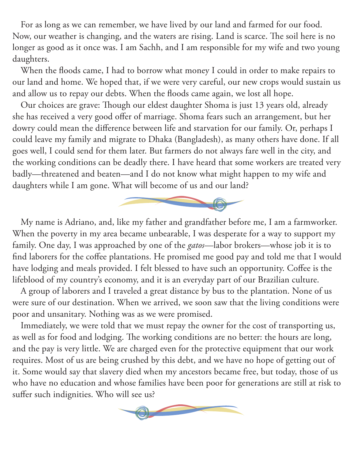For as long as we can remember, we have lived by our land and farmed for our food. Now, our weather is changing, and the waters are rising. Land is scarce. The soil here is no longer as good as it once was. I am Sachh, and I am responsible for my wife and two young daughters.

When the floods came, I had to borrow what money I could in order to make repairs to our land and home. We hoped that, if we were very careful, our new crops would sustain us and allow us to repay our debts. When the floods came again, we lost all hope.

Our choices are grave: Though our eldest daughter Shoma is just 13 years old, already she has received a very good offer of marriage. Shoma fears such an arrangement, but her dowry could mean the difference between life and starvation for our family. Or, perhaps I could leave my family and migrate to Dhaka (Bangladesh), as many others have done. If all goes well, I could send for them later. But farmers do not always fare well in the city, and the working conditions can be deadly there. I have heard that some workers are treated very badly—threatened and beaten—and I do not know what might happen to my wife and daughters while I am gone. What will become of us and our land?



My name is Adriano, and, like my father and grandfather before me, I am a farmworker. When the poverty in my area became unbearable, I was desperate for a way to support my family. One day, I was approached by one of the *gatos*—labor brokers—whose job it is to find laborers for the coffee plantations. He promised me good pay and told me that I would have lodging and meals provided. I felt blessed to have such an opportunity. Coffee is the lifeblood of my country's economy, and it is an everyday part of our Brazilian culture.

A group of laborers and I traveled a great distance by bus to the plantation. None of us were sure of our destination. When we arrived, we soon saw that the living conditions were poor and unsanitary. Nothing was as we were promised.

Immediately, we were told that we must repay the owner for the cost of transporting us, as well as for food and lodging. The working conditions are no better: the hours are long, and the pay is very little. We are charged even for the protective equipment that our work requires. Most of us are being crushed by this debt, and we have no hope of getting out of it. Some would say that slavery died when my ancestors became free, but today, those of us who have no education and whose families have been poor for generations are still at risk to suffer such indignities. Who will see us?

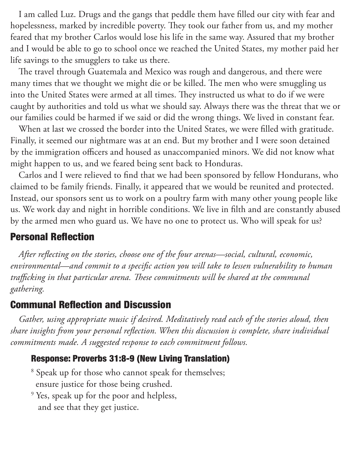I am called Luz. Drugs and the gangs that peddle them have filled our city with fear and hopelessness, marked by incredible poverty. They took our father from us, and my mother feared that my brother Carlos would lose his life in the same way. Assured that my brother and I would be able to go to school once we reached the United States, my mother paid her life savings to the smugglers to take us there.

The travel through Guatemala and Mexico was rough and dangerous, and there were many times that we thought we might die or be killed. The men who were smuggling us into the United States were armed at all times. They instructed us what to do if we were caught by authorities and told us what we should say. Always there was the threat that we or our families could be harmed if we said or did the wrong things. We lived in constant fear.

When at last we crossed the border into the United States, we were filled with gratitude. Finally, it seemed our nightmare was at an end. But my brother and I were soon detained by the immigration officers and housed as unaccompanied minors. We did not know what might happen to us, and we feared being sent back to Honduras.

Carlos and I were relieved to find that we had been sponsored by fellow Hondurans, who claimed to be family friends. Finally, it appeared that we would be reunited and protected. Instead, our sponsors sent us to work on a poultry farm with many other young people like us. We work day and night in horrible conditions. We live in filth and are constantly abused by the armed men who guard us. We have no one to protect us. Who will speak for us?

### Personal Reflection

*After reflecting on the stories, choose one of the four arenas—social, cultural, economic, environmental—and commit to a specific action you will take to lessen vulnerability to human trafficking in that particular arena. These commitments will be shared at the communal gathering.*

### Communal Reflection and Discussion

*Gather, using appropriate music if desired. Meditatively read each of the stories aloud, then share insights from your personal reflection. When this discussion is complete, share individual commitments made. A suggested response to each commitment follows.* 

### Response: Proverbs 31:8-9 (New Living Translation)

<sup>8</sup> Speak up for those who cannot speak for themselves; ensure justice for those being crushed.

<sup>9</sup> Yes, speak up for the poor and helpless, and see that they get justice.